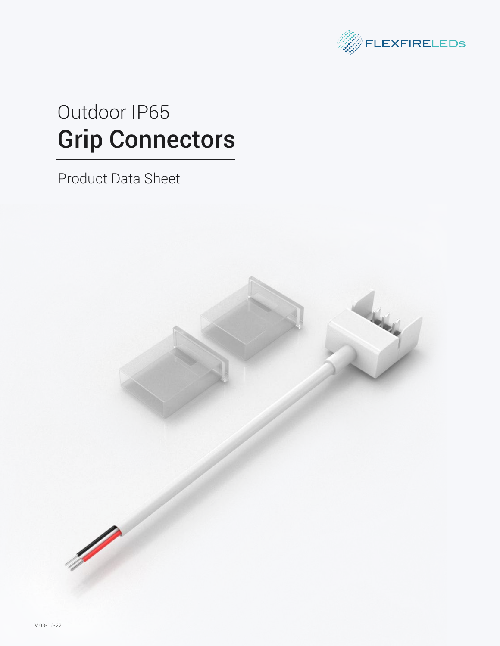

# Grip Connectors Outdoor IP65

Product Data Sheet

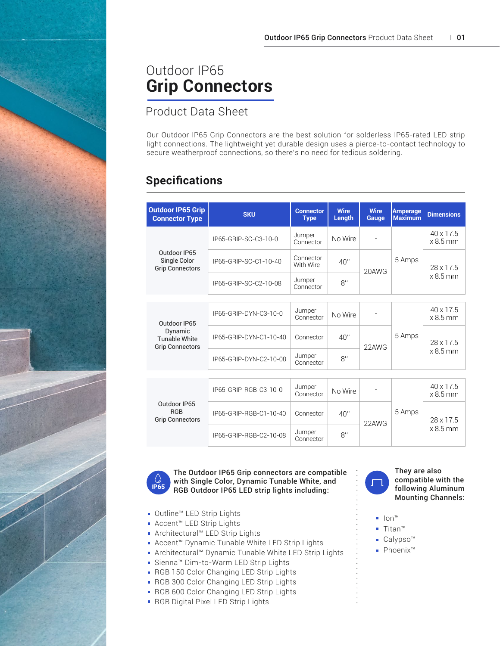## Outdoor IP65 **Grip Connectors**

Product Data Sheet

Our Outdoor IP65 Grip Connectors are the best solution for solderless IP65-rated LED strip light connections. The lightweight yet durable design uses a pierce-to-contact technology to secure weatherproof connections, so there's no need for tedious soldering.

### **Specifications**

| <b>Outdoor IP65 Grip</b><br><b>Connector Type</b>                         | <b>SKU</b>             | <b>Connector</b><br><b>Type</b> | <b>Wire</b><br>Length | <b>Wire</b><br>Gauge | <b>Amperage</b><br><b>Maximum</b> | <b>Dimensions</b>             |
|---------------------------------------------------------------------------|------------------------|---------------------------------|-----------------------|----------------------|-----------------------------------|-------------------------------|
| Outdoor IP65<br>Single Color<br><b>Grip Connectors</b>                    | IP65-GRIP-SC-C3-10-0   | Jumper<br>Connector             | No Wire               |                      | 5 Amps                            | $40 \times 17.5$<br>$x8.5$ mm |
|                                                                           | IP65-GRIP-SC-C1-10-40  | Connector<br>With Wire          | 40''                  | 20AWG                |                                   | 28 x 17.5<br>$x8.5$ mm        |
|                                                                           | IP65-GRIP-SC-C2-10-08  | Jumper<br>Connector             | 8"                    |                      |                                   |                               |
|                                                                           |                        |                                 |                       |                      |                                   |                               |
| Outdoor IP65<br>Dynamic<br><b>Tunable White</b><br><b>Grip Connectors</b> | IP65-GRIP-DYN-C3-10-0  | Jumper<br>Connector             | No Wire               |                      | 5 Amps                            | $40 \times 17.5$<br>$x8.5$ mm |
|                                                                           | IP65-GRIP-DYN-C1-10-40 | Connector                       | 40''                  | 22AWG                |                                   | 28 x 17 5<br>$x8.5$ mm        |
|                                                                           | IP65-GRIP-DYN-C2-10-08 | Jumper<br>Connector             | 8"                    |                      |                                   |                               |
|                                                                           |                        |                                 |                       |                      |                                   |                               |
| Outdoor IP65<br><b>RGB</b><br><b>Grip Connectors</b>                      | IP65-GRIP-RGB-C3-10-0  | Jumper<br>Connector             | No Wire               |                      |                                   | $40 \times 17.5$<br>$x8.5$ mm |
|                                                                           | IP65-GRIP-RGB-C1-10-40 | Connector                       | 40''                  | 5 Amps<br>22AWG      | 28 x 17.5<br>$x8.5$ mm            |                               |
|                                                                           | IP65-GRIP-RGB-C2-10-08 | Jumper<br>Connector             | 8"                    |                      |                                   |                               |



The Outdoor IP65 Grip connectors are compatible with Single Color, Dynamic Tunable White, and RGB Outdoor IP65 LED strip lights including:

- Outline™ LED Strip Lights
- Accent™ LED Strip Lights
- Architectural™ LED Strip Lights
- Accent<sup>™</sup> Dynamic Tunable White LED Strip Lights
- Architectural™ Dynamic Tunable White LED Strip Lights
- Sienna™ Dim-to-Warm LED Strip Lights
- RGB 150 Color Changing LED Strip Lights
- RGB 300 Color Changing LED Strip Lights
- RGB 600 Color Changing LED Strip Lights
- **RGB Digital Pixel LED Strip Lights**





- Ion™
- Titan™
- Calypso<sup>™</sup>
- Phoenix™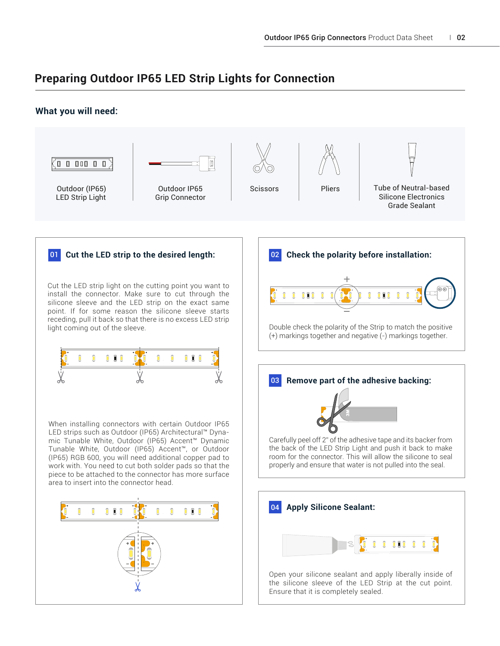#### **Preparing Outdoor IP65 LED Strip Lights for Connection**

#### **What you will need:**

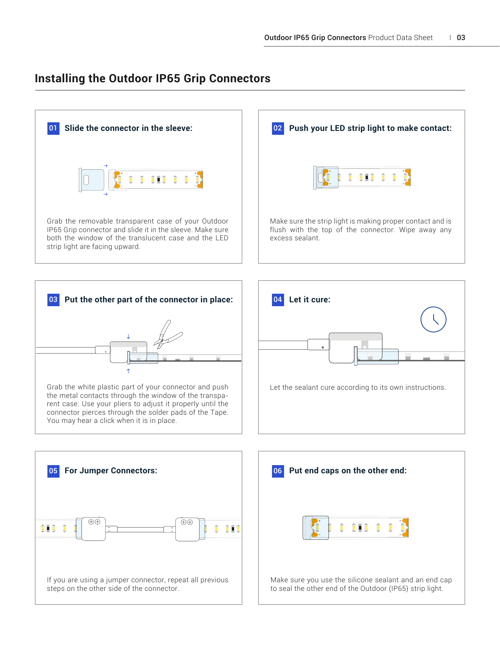#### **Installing the Outdoor IP65 Grip Connectors**